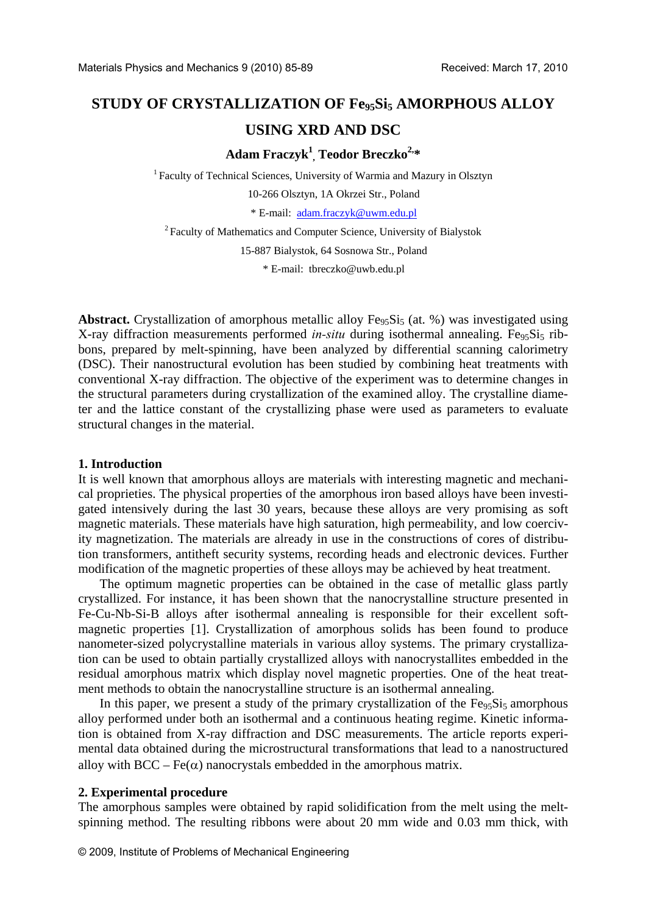# STUDY OF CRYSTALLIZATION OF Fe<sub>95</sub>Si<sub>5</sub> AMORPHOUS ALLOY **USING XRD AND DSC**

# **Adam Fraczyk<sup>1</sup> , Teodor Breczko2,\***

<sup>1</sup> Faculty of Technical Sciences, University of Warmia and Mazury in Olsztyn 10-266 Olsztyn, 1A Okrzei Str., Poland \* E-mail: [adam.fraczyk@uwm.edu.pl](mailto:adam.fraczyk@uwm.edu.pl) 2 Faculty of Mathematics and Computer Science, University of Bialystok

15-887 Bialystok, 64 Sosnowa Str., Poland

\* E-mail: [tbreczko@uwb.edu.pl](mailto:tbreczko@uwb.edu.pl)

**Abstract.** Crystallization of amorphous metallic alloy  $Fe<sub>95</sub>Si<sub>5</sub>$  (at. %) was investigated using X-ray diffraction measurements performed *in-situ* during isothermal annealing. Fe<sub>95</sub>Si<sub>5</sub> ribbons, prepared by melt-spinning, have been analyzed by differential scanning calorimetry (DSC). Their nanostructural evolution has been studied by combining heat treatments with conventional X-ray diffraction. The objective of the experiment was to determine changes in the structural parameters during crystallization of the examined alloy. The crystalline diameter and the lattice constant of the crystallizing phase were used as parameters to evaluate structural changes in the material.

#### **1. Introduction**

It is well known that amorphous alloys are materials with interesting magnetic and mechanical proprieties. The physical properties of the amorphous iron based alloys have been investigated intensively during the last 30 years, because these alloys are very promising as soft magnetic materials. These materials have high saturation, high permeability, and low coercivity magnetization. The materials are already in use in the constructions of cores of distribution transformers, antitheft security systems, recording heads and electronic devices. Further modification of the magnetic properties of these alloys may be achieved by heat treatment.

 The optimum magnetic properties can be obtained in the case of metallic glass partly crystallized. For instance, it has been shown that the nanocrystalline structure presented in Fe-Cu-Nb-Si-B alloys after isothermal annealing is responsible for their excellent softmagnetic properties [1]. Crystallization of amorphous solids has been found to produce nanometer-sized polycrystalline materials in various alloy systems. The primary crystallization can be used to obtain partially crystallized alloys with nanocrystallites embedded in the residual amorphous matrix which display novel magnetic properties. One of the heat treatment methods to obtain the nanocrystalline structure is an isothermal annealing.

In this paper, we present a study of the primary crystallization of the  $Fe<sub>95</sub>Si<sub>5</sub>$  amorphous alloy performed under both an isothermal and a continuous heating regime. Kinetic information is obtained from X-ray diffraction and DSC measurements. The article reports experimental data obtained during the microstructural transformations that lead to a nanostructured alloy with  $BCC - Fe(\alpha)$  nanocrystals embedded in the amorphous matrix.

#### **2. Experimental procedure**

The amorphous samples were obtained by rapid solidification from the melt using the meltspinning method. The resulting ribbons were about 20 mm wide and 0.03 mm thick, with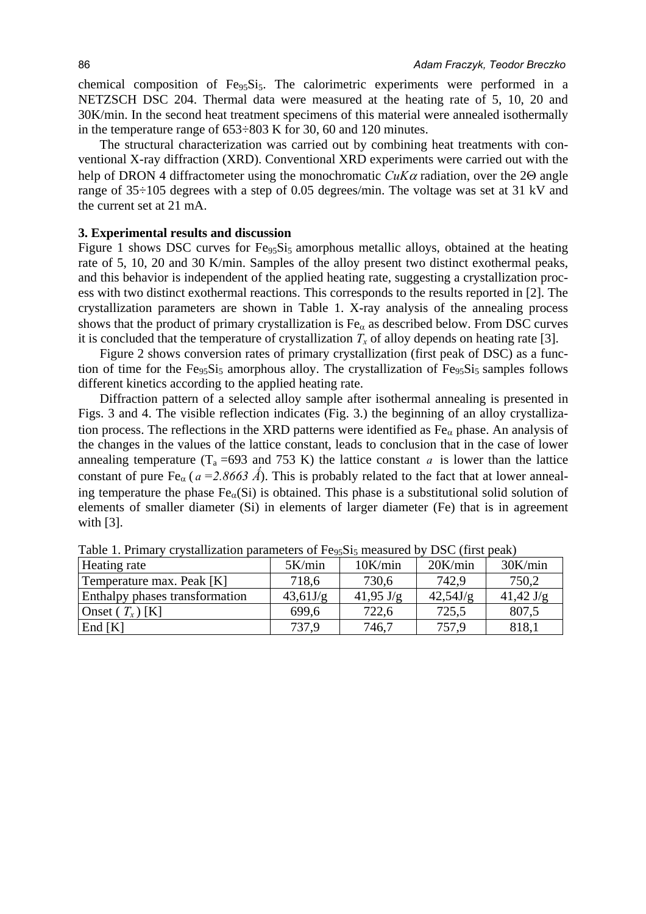chemical composition of  $Fe<sub>95</sub>Si<sub>5</sub>$ . The calorimetric experiments were performed in a NETZSCH DSC 204. Thermal data were measured at the heating rate of 5, 10, 20 and 30K/min. In the second heat treatment specimens of this material were annealed isothermally in the temperature range of 653÷803 K for 30, 60 and 120 minutes.

 The structural characterization was carried out by combining heat treatments with conventional X-ray diffraction (XRD). Conventional XRD experiments were carried out with the help of DRON 4 diffractometer using the monochromatic *CuK*α radiation, over the 2Θ angle range of 35÷105 degrees with a step of 0.05 degrees/min. The voltage was set at 31 kV and the current set at 21 mA.

## **3. Experimental results and discussion**

Figure 1 shows DSC curves for  $Fe<sub>95</sub>Si<sub>5</sub>$  amorphous metallic alloys, obtained at the heating rate of 5, 10, 20 and 30 K/min. Samples of the alloy present two distinct exothermal peaks, and this behavior is independent of the applied heating rate, suggesting a crystallization process with two distinct exothermal reactions. This corresponds to the results reported in [2]. The crystallization parameters are shown in Table 1. X-ray analysis of the annealing process shows that the product of primary crystallization is  $Fe_\alpha$  as described below. From DSC curves it is concluded that the temperature of crystallization  $T_x$  of alloy depends on heating rate [3].

 Figure 2 shows conversion rates of primary crystallization (first peak of DSC) as a function of time for the  $Fe<sub>95</sub>Si<sub>5</sub>$  amorphous alloy. The crystallization of  $Fe<sub>95</sub>Si<sub>5</sub>$  samples follows different kinetics according to the applied heating rate.

 Diffraction pattern of a selected alloy sample after isothermal annealing is presented in Figs. 3 and 4. The visible reflection indicates (Fig. 3.) the beginning of an alloy crystallization process. The reflections in the XRD patterns were identified as  $Fe<sub>\alpha</sub>$  phase. An analysis of the changes in the values of the lattice constant, leads to conclusion that in the case of lower annealing temperature ( $T_a = 693$  and 753 K) the lattice constant *a* is lower than the lattice constant of pure Fe<sub> $\alpha$ </sub> ( $a = 2.8663 \text{ Å}$ ). This is probably related to the fact that at lower annealing temperature the phase  $Fe<sub>\alpha</sub>(Si)$  is obtained. This phase is a substitutional solid solution of elements of smaller diameter (Si) in elements of larger diameter (Fe) that is in agreement with [3].

| Heating rate                   | 5K/min   | 10K/min             | 20K/min  | 30K/min             |
|--------------------------------|----------|---------------------|----------|---------------------|
| Temperature max. Peak [K]      | 718,6    | 730,6               | 742,9    | 750,2               |
| Enthalpy phases transformation | 43,61J/g | $41,95 \text{ J/g}$ | 42,54J/g | $41,42 \text{ J/g}$ |
| Onset $(T_x)$ [K]              | 699,6    | 722,6               | 725,5    | 807,5               |
| End $[K]$                      | 737.9    | 746,7               | 757.9    | 818,1               |

Table 1. Primary crystallization parameters of  $Fe<sub>95</sub>Si<sub>5</sub>$  measured by DSC (first peak)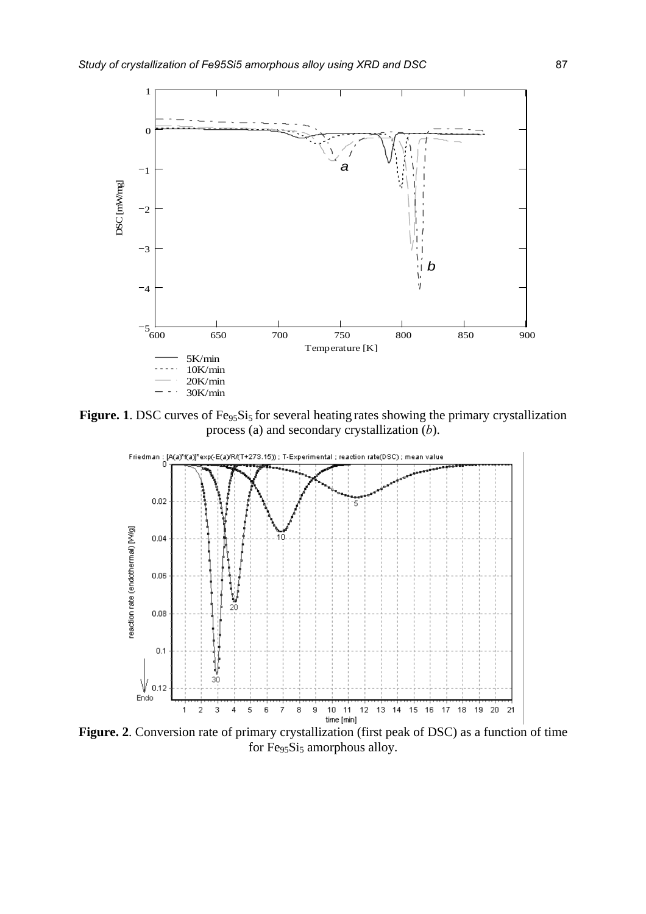

Figure. 1. DSC curves of Fe<sub>95</sub>Si<sub>5</sub> for several heating rates showing the primary crystallization process (a) and secondary crystallization (*b*).



**Figure. 2**. Conversion rate of primary crystallization (first peak of DSC) as a function of time for Fe<sub>95</sub>Si<sub>5</sub> amorphous alloy.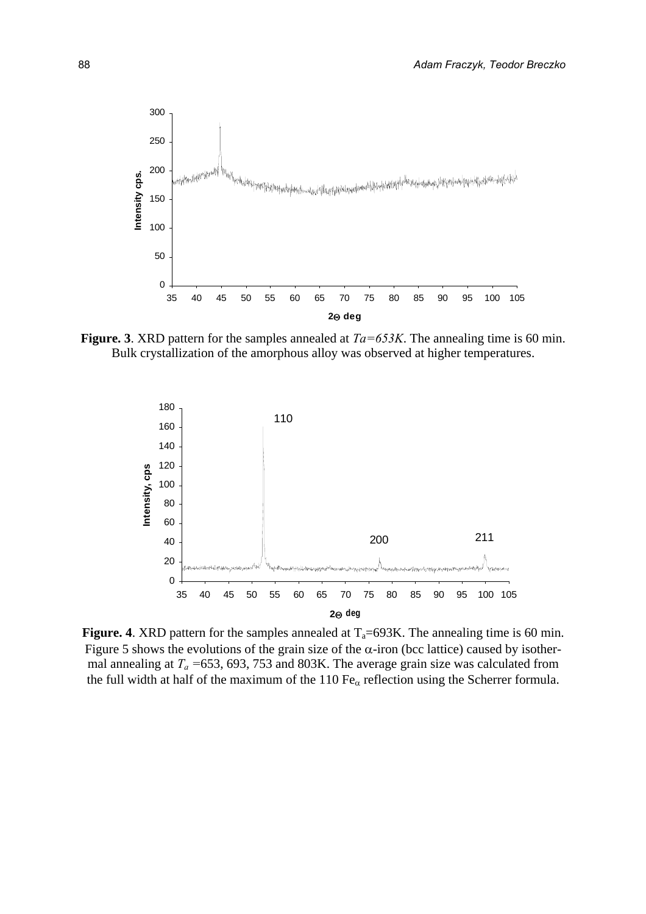

**Figure. 3**. XRD pattern for the samples annealed at *Ta=653K*. The annealing time is 60 min. Bulk crystallization of the amorphous alloy was observed at higher temperatures.



**Figure. 4**. XRD pattern for the samples annealed at  $T_a=693K$ . The annealing time is 60 min. Figure 5 shows the evolutions of the grain size of the  $\alpha$ -iron (bcc lattice) caused by isothermal annealing at *Ta =*653, 693, 753 and 803K. The average grain size was calculated from the full width at half of the maximum of the 110  $Fe_\alpha$  reflection using the Scherrer formula.